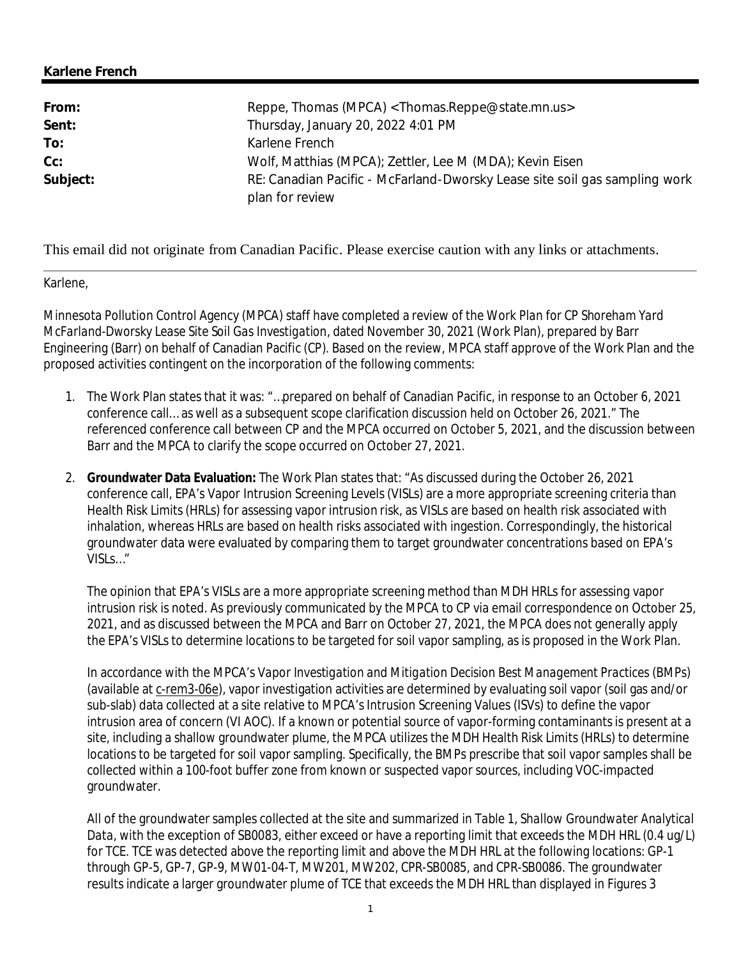## **Karlene French**

| From:    | Reppe, Thomas (MPCA) <thomas.reppe@state.mn.us></thomas.reppe@state.mn.us>                    |
|----------|-----------------------------------------------------------------------------------------------|
| Sent:    | Thursday, January 20, 2022 4:01 PM                                                            |
| To:      | Karlene French                                                                                |
| $Cc$ :   | Wolf, Matthias (MPCA); Zettler, Lee M (MDA); Kevin Eisen                                      |
| Subject: | RE: Canadian Pacific - McFarland-Dworsky Lease site soil gas sampling work<br>plan for review |

This email did not originate from Canadian Pacific. Please exercise caution with any links or attachments.

Karlene,

Minnesota Pollution Control Agency (MPCA) staff have completed a review of the *Work Plan for CP Shoreham Yard McFarland-Dworsky Lease Site Soil Gas Investigation*, dated November 30, 2021 (Work Plan), prepared by Barr Engineering (Barr) on behalf of Canadian Pacific (CP). Based on the review, MPCA staff approve of the Work Plan and the proposed activities contingent on the incorporation of the following comments:

- 1. The Work Plan states that it was: "…prepared on behalf of Canadian Pacific, in response to an October 6, 2021 conference call… as well as a subsequent scope clarification discussion held on October 26, 2021." The referenced conference call between CP and the MPCA occurred on October 5, 2021, and the discussion between Barr and the MPCA to clarify the scope occurred on October 27, 2021.
- 2. **Groundwater Data Evaluation:** The Work Plan states that: "As discussed during the October 26, 2021 conference call, EPA's Vapor Intrusion Screening Levels (VISLs) are a more appropriate screening criteria than Health Risk Limits (HRLs) for assessing vapor intrusion risk, as VISLs are based on health risk associated with inhalation, whereas HRLs are based on health risks associated with ingestion. Correspondingly, the historical groundwater data were evaluated by comparing them to target groundwater concentrations based on EPA's VISLs…"

The opinion that EPA's VISLs are a more appropriate screening method than MDH HRLs for assessing vapor intrusion risk is noted. As previously communicated by the MPCA to CP via email correspondence on October 25, 2021, and as discussed between the MPCA and Barr on October 27, 2021, the MPCA does not generally apply the EPA's VISLs to determine locations to be targeted for soil vapor sampling, as is proposed in the Work Plan.

In accordance with the MPCA's *Vapor Investigation and Mitigation Decision Best Management Practices* (BMPs) (available at c-rem3-06e), vapor investigation activities are determined by evaluating soil vapor (soil gas and/or sub-slab) data collected at a site relative to MPCA's Intrusion Screening Values (ISVs) to define the vapor intrusion area of concern (VI AOC). If a known or potential source of vapor-forming contaminants is present at a site, including a shallow groundwater plume, the MPCA utilizes the MDH Health Risk Limits (HRLs) to determine locations to be targeted for soil vapor sampling. Specifically, the BMPs prescribe that soil vapor samples shall be collected within a 100-foot buffer zone from known or suspected vapor sources, including VOC-impacted groundwater.

All of the groundwater samples collected at the site and summarized in *Table 1, Shallow Groundwater Analytical Data*, with the exception of SB0083, either exceed or have a reporting limit that exceeds the MDH HRL (0.4 ug/L) for TCE. TCE was detected above the reporting limit and above the MDH HRL at the following locations: GP-1 through GP-5, GP-7, GP-9, MW01-04-T, MW201, MW202, CPR-SB0085, and CPR-SB0086. The groundwater results indicate a larger groundwater plume of TCE that exceeds the MDH HRL than displayed in Figures 3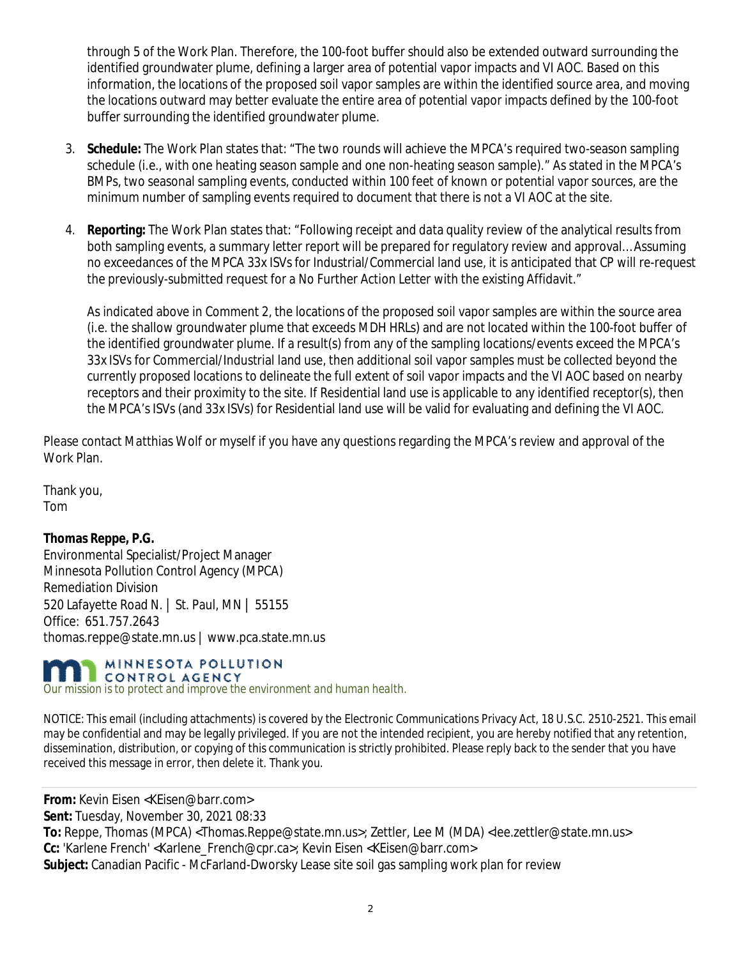through 5 of the Work Plan. Therefore, the 100-foot buffer should also be extended outward surrounding the identified groundwater plume, defining a larger area of potential vapor impacts and VI AOC. Based on this information, the locations of the proposed soil vapor samples are within the identified source area, and moving the locations outward may better evaluate the entire area of potential vapor impacts defined by the 100-foot buffer surrounding the identified groundwater plume.

- 3. **Schedule:** The Work Plan states that: "The two rounds will achieve the MPCA's required two-season sampling schedule (i.e., with one heating season sample and one non-heating season sample)." As stated in the MPCA's BMPs, two seasonal sampling events, conducted within 100 feet of known or potential vapor sources, are the minimum number of sampling events required to document that there is not a VI AOC at the site.
- 4. **Reporting:** The Work Plan states that: "Following receipt and data quality review of the analytical results from both sampling events, a summary letter report will be prepared for regulatory review and approval… Assuming no exceedances of the MPCA 33x ISVs for Industrial/Commercial land use, it is anticipated that CP will re-request the previously-submitted request for a No Further Action Letter with the existing Affidavit."

As indicated above in Comment 2, the locations of the proposed soil vapor samples are within the source area (i.e. the shallow groundwater plume that exceeds MDH HRLs) and are not located within the 100-foot buffer of the identified groundwater plume. If a result(s) from any of the sampling locations/events exceed the MPCA's 33x ISVs for Commercial/Industrial land use, then additional soil vapor samples must be collected beyond the currently proposed locations to delineate the full extent of soil vapor impacts and the VI AOC based on nearby receptors and their proximity to the site. If Residential land use is applicable to any identified receptor(s), then the MPCA's ISVs (and 33x ISVs) for Residential land use will be valid for evaluating and defining the VI AOC.

Please contact Matthias Wolf or myself if you have any questions regarding the MPCA's review and approval of the Work Plan.

Thank you, Tom

**Thomas Reppe, P.G.** Environmental Specialist/Project Manager Minnesota Pollution Control Agency (MPCA) Remediation Division 520 Lafayette Road N. | St. Paul, MN | 55155 Office: 651.757.2643 thomas.reppe@state.mn.us | www.pca.state.mn.us

## MINNESOTA POLLUTION CONTROL AGENCY

*Our mission is to protect and improve the environment and human health.*

NOTICE: This email (including attachments) is covered by the Electronic Communications Privacy Act, 18 U.S.C. 2510-2521. This email may be confidential and may be legally privileged. If you are not the intended recipient, you are hereby notified that any retention, dissemination, distribution, or copying of this communication is strictly prohibited. Please reply back to the sender that you have received this message in error, then delete it. Thank you.

**From:** Kevin Eisen <KEisen@barr.com>

**Sent:** Tuesday, November 30, 2021 08:33

**To:** Reppe, Thomas (MPCA) <Thomas.Reppe@state.mn.us>; Zettler, Lee M (MDA) <lee.zettler@state.mn.us> **Cc:** 'Karlene French' <Karlene\_French@cpr.ca>; Kevin Eisen <KEisen@barr.com> **Subject:** Canadian Pacific - McFarland-Dworsky Lease site soil gas sampling work plan for review